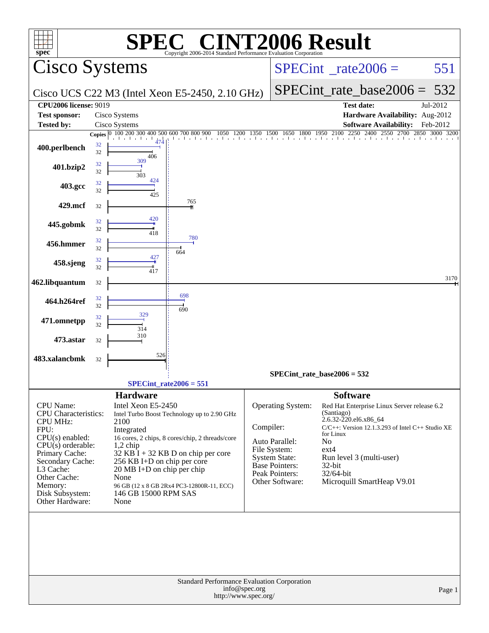| <b>CINT2006 Result</b><br>$\bigcap$<br>spec <sup>®</sup><br>Copyright 2006-2014 Standard Performance Evaluation Corporation |                                                                 |                                                   |           |                                               |                                                                    |                |  |
|-----------------------------------------------------------------------------------------------------------------------------|-----------------------------------------------------------------|---------------------------------------------------|-----------|-----------------------------------------------|--------------------------------------------------------------------|----------------|--|
| Cisco Systems                                                                                                               |                                                                 |                                                   |           | $SPECint^{\circ}$ <sub>_rate2006</sub> =      | 551                                                                |                |  |
|                                                                                                                             |                                                                 | Cisco UCS C22 M3 (Intel Xeon E5-2450, 2.10 GHz)   |           | $SPECint_rate_base2006 = 532$                 |                                                                    |                |  |
| <b>CPU2006 license: 9019</b>                                                                                                |                                                                 |                                                   |           |                                               | <b>Test date:</b>                                                  | Jul-2012       |  |
| <b>Test sponsor:</b>                                                                                                        | Cisco Systems                                                   |                                                   |           |                                               | Hardware Availability: Aug-2012                                    |                |  |
| <b>Tested by:</b>                                                                                                           | Cisco Systems                                                   |                                                   |           |                                               | <b>Software Availability:</b>                                      | Feb-2012       |  |
|                                                                                                                             | Copies 0 100 200 300 400 500 600 700 800 900<br>47 <sup>1</sup> | 1200                                              | 1350      |                                               | 350 1500 1650 1800 1950 2100 2250 2400 2550 2700 2                 | 2850 3000 3200 |  |
| 32<br>400.perlbench                                                                                                         | 32<br>406                                                       |                                                   |           |                                               |                                                                    |                |  |
| 32<br>401.bzip2                                                                                                             | 309                                                             |                                                   |           |                                               |                                                                    |                |  |
|                                                                                                                             | 32<br>303                                                       |                                                   |           |                                               |                                                                    |                |  |
| 32<br>403.gcc<br>32                                                                                                         | 424                                                             |                                                   |           |                                               |                                                                    |                |  |
|                                                                                                                             | 425                                                             | 765                                               |           |                                               |                                                                    |                |  |
| 429.mcf<br>32                                                                                                               |                                                                 |                                                   |           |                                               |                                                                    |                |  |
| 32<br>445.gobmk                                                                                                             | 420                                                             |                                                   |           |                                               |                                                                    |                |  |
|                                                                                                                             | 32<br>418                                                       | 780                                               |           |                                               |                                                                    |                |  |
| 32<br>456.hmmer                                                                                                             | 32                                                              |                                                   |           |                                               |                                                                    |                |  |
| 32                                                                                                                          | 427                                                             | 664                                               |           |                                               |                                                                    |                |  |
| 458.sjeng                                                                                                                   | 32<br>417                                                       |                                                   |           |                                               |                                                                    |                |  |
| 462.libquantum<br>32                                                                                                        |                                                                 |                                                   |           |                                               |                                                                    | 3170           |  |
|                                                                                                                             |                                                                 | 698                                               |           |                                               |                                                                    |                |  |
| 32<br>464.h264ref                                                                                                           | 32                                                              |                                                   |           |                                               |                                                                    |                |  |
| 32                                                                                                                          | 329                                                             | 690                                               |           |                                               |                                                                    |                |  |
| 471.omnetpp                                                                                                                 | 32<br>314                                                       |                                                   |           |                                               |                                                                    |                |  |
| 473.astar<br>32                                                                                                             | 310                                                             |                                                   |           |                                               |                                                                    |                |  |
|                                                                                                                             |                                                                 |                                                   |           |                                               |                                                                    |                |  |
| 483.xalancbmk<br>32                                                                                                         | 526                                                             |                                                   |           |                                               |                                                                    |                |  |
|                                                                                                                             |                                                                 |                                                   |           |                                               | $SPECint_rate_base2006 = 532$                                      |                |  |
|                                                                                                                             |                                                                 | $SPECint_rate2006 = 551$                          |           |                                               |                                                                    |                |  |
|                                                                                                                             | <b>Hardware</b>                                                 |                                                   |           |                                               | <b>Software</b>                                                    |                |  |
| <b>CPU</b> Name:                                                                                                            | Intel Xeon E5-2450                                              |                                                   |           | Operating System:                             | Red Hat Enterprise Linux Server release 6.2                        |                |  |
| <b>CPU</b> Characteristics:<br><b>CPU MHz:</b>                                                                              | 2100                                                            | Intel Turbo Boost Technology up to 2.90 GHz       |           |                                               | (Santiago)<br>2.6.32-220.el6.x86_64                                |                |  |
| FPU:                                                                                                                        | Integrated                                                      |                                                   | Compiler: |                                               | $C/C++$ : Version 12.1.3.293 of Intel $C++$ Studio XE<br>for Linux |                |  |
| $CPU(s)$ enabled:<br>$CPU(s)$ orderable:                                                                                    | $1,2$ chip                                                      | 16 cores, 2 chips, 8 cores/chip, 2 threads/core   |           | Auto Parallel:                                | N <sub>o</sub>                                                     |                |  |
| Primary Cache:                                                                                                              |                                                                 | $32$ KB $\overline{1}$ + 32 KB D on chip per core |           | File System:                                  | $ext{4}$                                                           |                |  |
| Secondary Cache:                                                                                                            | 256 KB I+D on chip per core                                     |                                                   |           | <b>System State:</b><br><b>Base Pointers:</b> | Run level 3 (multi-user)<br>$32$ -bit                              |                |  |
| L3 Cache:<br>Other Cache:                                                                                                   | $20 \text{ MB I+D}$ on chip per chip<br>None                    |                                                   |           | Peak Pointers:                                | 32/64-bit                                                          |                |  |
| Memory:                                                                                                                     |                                                                 | 96 GB (12 x 8 GB 2Rx4 PC3-12800R-11, ECC)         |           | Other Software:                               | Microquill SmartHeap V9.01                                         |                |  |
| Disk Subsystem:<br>Other Hardware:                                                                                          | 146 GB 15000 RPM SAS                                            |                                                   |           |                                               |                                                                    |                |  |
|                                                                                                                             | None                                                            |                                                   |           |                                               |                                                                    |                |  |
|                                                                                                                             |                                                                 |                                                   |           |                                               |                                                                    |                |  |
|                                                                                                                             |                                                                 |                                                   |           |                                               |                                                                    |                |  |
|                                                                                                                             |                                                                 |                                                   |           |                                               |                                                                    |                |  |
|                                                                                                                             |                                                                 |                                                   |           |                                               |                                                                    |                |  |
|                                                                                                                             |                                                                 |                                                   |           |                                               |                                                                    |                |  |
| Standard Performance Evaluation Corporation                                                                                 |                                                                 |                                                   |           |                                               |                                                                    |                |  |
| info@spec.org<br>Page 1                                                                                                     |                                                                 |                                                   |           |                                               |                                                                    |                |  |
| http://www.spec.org/                                                                                                        |                                                                 |                                                   |           |                                               |                                                                    |                |  |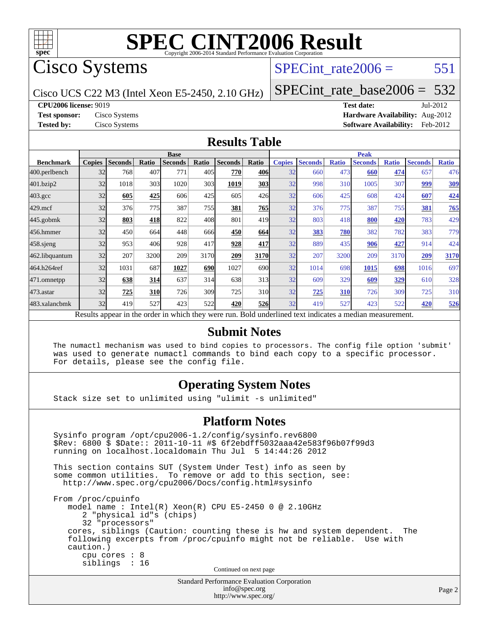

## Cisco Systems

### SPECint rate $2006 = 551$

Cisco UCS C22 M3 (Intel Xeon E5-2450, 2.10 GHz)

#### [SPECint\\_rate\\_base2006 =](http://www.spec.org/auto/cpu2006/Docs/result-fields.html#SPECintratebase2006) 532

#### **[CPU2006 license:](http://www.spec.org/auto/cpu2006/Docs/result-fields.html#CPU2006license)** 9019 **[Test date:](http://www.spec.org/auto/cpu2006/Docs/result-fields.html#Testdate)** Jul-2012

**[Test sponsor:](http://www.spec.org/auto/cpu2006/Docs/result-fields.html#Testsponsor)** Cisco Systems **[Hardware Availability:](http://www.spec.org/auto/cpu2006/Docs/result-fields.html#HardwareAvailability)** Aug-2012 **[Tested by:](http://www.spec.org/auto/cpu2006/Docs/result-fields.html#Testedby)** Cisco Systems **[Software Availability:](http://www.spec.org/auto/cpu2006/Docs/result-fields.html#SoftwareAvailability)** Feb-2012

#### **[Results Table](http://www.spec.org/auto/cpu2006/Docs/result-fields.html#ResultsTable)**

|                                                                                                          | <b>Base</b>   |                |       |                |            |                | <b>Peak</b> |               |                |              |                |              |                |              |
|----------------------------------------------------------------------------------------------------------|---------------|----------------|-------|----------------|------------|----------------|-------------|---------------|----------------|--------------|----------------|--------------|----------------|--------------|
| <b>Benchmark</b>                                                                                         | <b>Copies</b> | <b>Seconds</b> | Ratio | <b>Seconds</b> | Ratio      | <b>Seconds</b> | Ratio       | <b>Copies</b> | <b>Seconds</b> | <b>Ratio</b> | <b>Seconds</b> | <b>Ratio</b> | <b>Seconds</b> | <b>Ratio</b> |
| 400.perlbench                                                                                            | 32            | 768            | 407   | 771            | 405I       | 770            | 406         | 32            | 660            | 473          | 660            | 474          | 657            | 476          |
| 401.bzip2                                                                                                | 32            | 1018           | 303   | 1020           | 303        | 1019           | 303         | 32            | 998            | 310          | 1005           | 307          | 999            | <u>309</u>   |
| $403.\mathrm{gcc}$                                                                                       | 32            | 605            | 425   | 606            | 425        | 605            | 426         | 32            | 606            | 425          | 608            | 424          | 607            | 424          |
| $429$ .mcf                                                                                               | 32            | 376            | 775   | 387            | 755        | 381            | 765         | 32            | 376            | 775          | 387            | 755          | 381            | 765          |
| $445$ .gobmk                                                                                             | 32            | 803            | 418   | 822            | 408        | 801            | 419         | 32            | 803            | 418          | 800            | 420          | 783            | 429          |
| 456.hmmer                                                                                                | 32            | 450            | 664   | 448            | 666        | 450            | 664         | 32            | 383            | 780          | 382            | 782          | 383            | 779          |
| $458$ .sjeng                                                                                             | 32            | 953            | 406   | 928            | 417        | 928            | 417         | 32            | 889            | 435          | 906            | 427          | 914            | 424          |
| 462.libquantum                                                                                           | 32            | 207            | 3200  | 209            | 3170       | 209            | 3170        | 32            | 207            | 3200         | 209            | 3170         | 209            | 3170         |
| 464.h264ref                                                                                              | 32            | 1031           | 687   | 1027           | <b>690</b> | 1027           | 690l        | 32            | 1014           | 698          | 1015           | 698          | 1016           | 697          |
| 471.omnetpp                                                                                              | 32            | 638            | 314   | 637            | 314        | 638            | 313         | 32            | 609            | 329          | 609            | 329          | 610            | 328          |
| 473.astar                                                                                                | 32            | 725            | 310   | 726            | 309        | 725            | 310         | 32            | 725            | 310          | 726            | 309          | 725            | 310          |
| 483.xalancbmk                                                                                            | 32            | 419            | 527   | 423            | 522        | 420            | <b>526</b>  | 32            | 419            | 527          | 423            | 522          | 420            | 526          |
| Results appear in the order in which they were run. Bold underlined text indicates a median measurement. |               |                |       |                |            |                |             |               |                |              |                |              |                |              |

#### **[Submit Notes](http://www.spec.org/auto/cpu2006/Docs/result-fields.html#SubmitNotes)**

 The numactl mechanism was used to bind copies to processors. The config file option 'submit' was used to generate numactl commands to bind each copy to a specific processor. For details, please see the config file.

### **[Operating System Notes](http://www.spec.org/auto/cpu2006/Docs/result-fields.html#OperatingSystemNotes)**

Stack size set to unlimited using "ulimit -s unlimited"

#### **[Platform Notes](http://www.spec.org/auto/cpu2006/Docs/result-fields.html#PlatformNotes)**

 Sysinfo program /opt/cpu2006-1.2/config/sysinfo.rev6800 \$Rev: 6800 \$ \$Date:: 2011-10-11 #\$ 6f2ebdff5032aaa42e583f96b07f99d3 running on localhost.localdomain Thu Jul 5 14:44:26 2012 This section contains SUT (System Under Test) info as seen by some common utilities. To remove or add to this section, see: <http://www.spec.org/cpu2006/Docs/config.html#sysinfo> From /proc/cpuinfo model name : Intel(R) Xeon(R) CPU E5-2450 0 @ 2.10GHz 2 "physical id"s (chips) 32 "processors" cores, siblings (Caution: counting these is hw and system dependent. The following excerpts from /proc/cpuinfo might not be reliable. Use with caution.) cpu cores : 8 siblings : 16 Continued on next page

Standard Performance Evaluation Corporation [info@spec.org](mailto:info@spec.org) <http://www.spec.org/>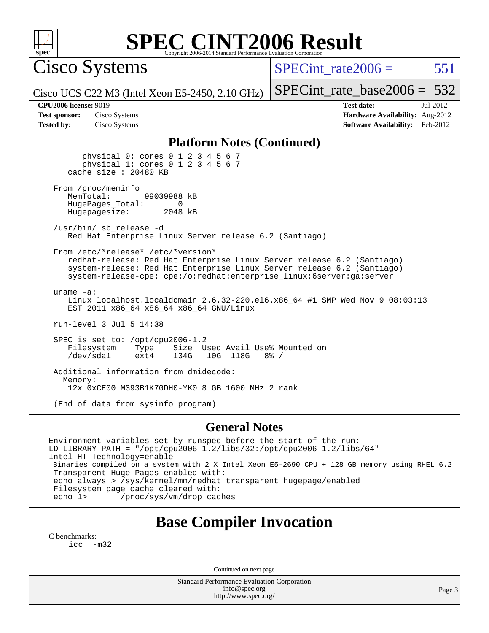

Cisco Systems

SPECint rate $2006 = 551$ 

[SPECint\\_rate\\_base2006 =](http://www.spec.org/auto/cpu2006/Docs/result-fields.html#SPECintratebase2006) 532

Cisco UCS C22 M3 (Intel Xeon E5-2450, 2.10 GHz)

**[CPU2006 license:](http://www.spec.org/auto/cpu2006/Docs/result-fields.html#CPU2006license)** 9019 **[Test date:](http://www.spec.org/auto/cpu2006/Docs/result-fields.html#Testdate)** Jul-2012 **[Test sponsor:](http://www.spec.org/auto/cpu2006/Docs/result-fields.html#Testsponsor)** Cisco Systems **[Hardware Availability:](http://www.spec.org/auto/cpu2006/Docs/result-fields.html#HardwareAvailability)** Aug-2012 **[Tested by:](http://www.spec.org/auto/cpu2006/Docs/result-fields.html#Testedby)** Cisco Systems **[Software Availability:](http://www.spec.org/auto/cpu2006/Docs/result-fields.html#SoftwareAvailability)** Feb-2012

#### **[Platform Notes \(Continued\)](http://www.spec.org/auto/cpu2006/Docs/result-fields.html#PlatformNotes)**

 physical 0: cores 0 1 2 3 4 5 6 7 physical 1: cores 0 1 2 3 4 5 6 7 cache size : 20480 KB From /proc/meminfo<br>MemTotal: 99039988 kB HugePages\_Total: 0<br>Hugepagesize: 2048 kB Hugepagesize: /usr/bin/lsb\_release -d Red Hat Enterprise Linux Server release 6.2 (Santiago) From /etc/\*release\* /etc/\*version\* redhat-release: Red Hat Enterprise Linux Server release 6.2 (Santiago) system-release: Red Hat Enterprise Linux Server release 6.2 (Santiago) system-release-cpe: cpe:/o:redhat:enterprise\_linux:6server:ga:server uname -a: Linux localhost.localdomain 2.6.32-220.el6.x86\_64 #1 SMP Wed Nov 9 08:03:13 EST 2011 x86\_64 x86\_64 x86\_64 GNU/Linux run-level 3 Jul 5 14:38 SPEC is set to: /opt/cpu2006-1.2 Filesystem Type Size Used Avail Use% Mounted on<br>
/dev/sdal ext4 134G 10G 118G 8% / 10G 118G Additional information from dmidecode: Memory: 12x 0xCE00 M393B1K70DH0-YK0 8 GB 1600 MHz 2 rank (End of data from sysinfo program)

#### **[General Notes](http://www.spec.org/auto/cpu2006/Docs/result-fields.html#GeneralNotes)**

Environment variables set by runspec before the start of the run: LD\_LIBRARY\_PATH = "/opt/cpu2006-1.2/libs/32:/opt/cpu2006-1.2/libs/64" Intel HT Technology=enable Binaries compiled on a system with 2 X Intel Xeon E5-2690 CPU + 128 GB memory using RHEL 6.2 Transparent Huge Pages enabled with: echo always > /sys/kernel/mm/redhat transparent hugepage/enabled Filesystem page cache cleared with: echo 1> /proc/sys/vm/drop\_caches

### **[Base Compiler Invocation](http://www.spec.org/auto/cpu2006/Docs/result-fields.html#BaseCompilerInvocation)**

[C benchmarks](http://www.spec.org/auto/cpu2006/Docs/result-fields.html#Cbenchmarks): [icc -m32](http://www.spec.org/cpu2006/results/res2012q3/cpu2006-20120823-24298.flags.html#user_CCbase_intel_icc_5ff4a39e364c98233615fdd38438c6f2)

Continued on next page

Standard Performance Evaluation Corporation [info@spec.org](mailto:info@spec.org) <http://www.spec.org/>

Page 3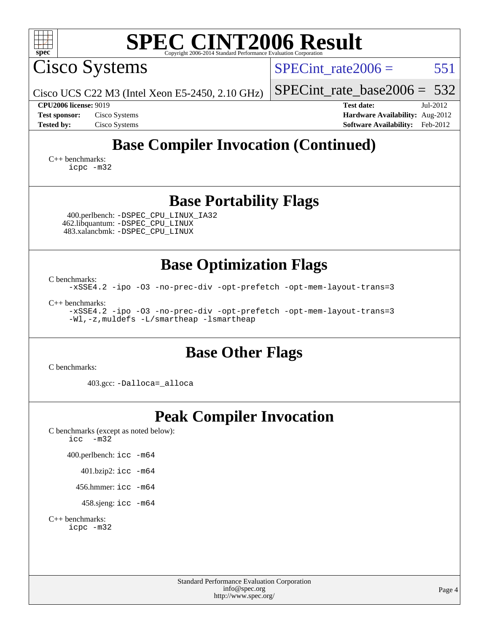| <b>SPEC CINT2006 Result</b><br>spec <sup>®</sup><br>Copyright 2006-2014 Standard Performance Evaluation Corporation                      |                                                                  |  |  |  |  |  |  |  |
|------------------------------------------------------------------------------------------------------------------------------------------|------------------------------------------------------------------|--|--|--|--|--|--|--|
| Cisco Systems                                                                                                                            | 551<br>SPECint rate $2006 =$                                     |  |  |  |  |  |  |  |
| Cisco UCS C22 M3 (Intel Xeon E5-2450, 2.10 GHz)                                                                                          | $SPECint_rate_base2006 = 532$                                    |  |  |  |  |  |  |  |
| <b>CPU2006 license: 9019</b><br><b>Test sponsor:</b><br>Cisco Systems                                                                    | <b>Test date:</b><br>Jul-2012<br>Hardware Availability: Aug-2012 |  |  |  |  |  |  |  |
| <b>Tested by:</b><br>Cisco Systems                                                                                                       | <b>Software Availability:</b> Feb-2012                           |  |  |  |  |  |  |  |
| <b>Base Compiler Invocation (Continued)</b>                                                                                              |                                                                  |  |  |  |  |  |  |  |
| $C_{++}$ benchmarks:<br>icpc -m32                                                                                                        |                                                                  |  |  |  |  |  |  |  |
| <b>Base Portability Flags</b>                                                                                                            |                                                                  |  |  |  |  |  |  |  |
| 400.perlbench: -DSPEC_CPU_LINUX_IA32<br>462.libquantum: - DSPEC CPU LINUX<br>483.xalancbmk: -DSPEC_CPU_LINUX                             |                                                                  |  |  |  |  |  |  |  |
| <b>Base Optimization Flags</b><br>C benchmarks:<br>-xSSE4.2 -ipo -03 -no-prec-div -opt-prefetch -opt-mem-layout-trans=3                  |                                                                  |  |  |  |  |  |  |  |
| $C_{++}$ benchmarks:<br>-xSSE4.2 -ipo -03 -no-prec-div -opt-prefetch -opt-mem-layout-trans=3<br>-Wl,-z, muldefs -L/smartheap -lsmartheap |                                                                  |  |  |  |  |  |  |  |
| <b>Base Other Flags</b><br>C benchmarks:                                                                                                 |                                                                  |  |  |  |  |  |  |  |
| 403.gcc: -Dalloca=_alloca                                                                                                                |                                                                  |  |  |  |  |  |  |  |
| <b>Peak Compiler Invocation</b><br>C benchmarks (except as noted below):<br>$-m32$<br>icc                                                |                                                                  |  |  |  |  |  |  |  |
| 400.perlbench: icc -m64                                                                                                                  |                                                                  |  |  |  |  |  |  |  |
| 401.bzip2: icc -m64                                                                                                                      |                                                                  |  |  |  |  |  |  |  |
| 456.hmmer: $\text{icc}$ -m64                                                                                                             |                                                                  |  |  |  |  |  |  |  |
| 458.sjeng: icc -m64                                                                                                                      |                                                                  |  |  |  |  |  |  |  |
| $C_{++}$ benchmarks:<br>icpc -m32                                                                                                        |                                                                  |  |  |  |  |  |  |  |
| Standard Performance Evaluation Corporation<br>info@spec.org<br>http://www.spec.org/                                                     | Page 4                                                           |  |  |  |  |  |  |  |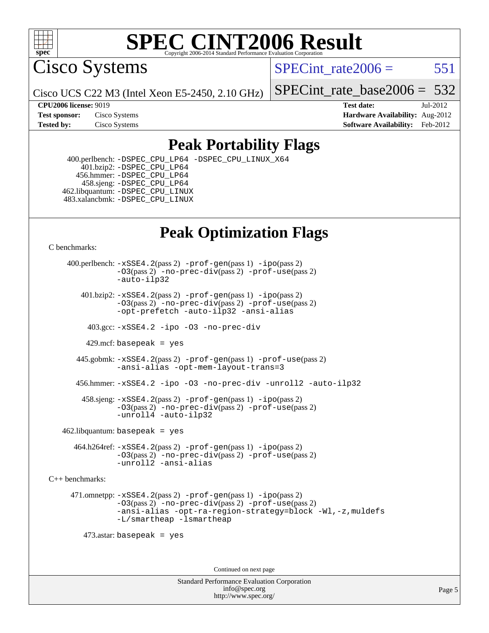

Cisco Systems

SPECint rate $2006 = 551$ 

[SPECint\\_rate\\_base2006 =](http://www.spec.org/auto/cpu2006/Docs/result-fields.html#SPECintratebase2006) 532

**[CPU2006 license:](http://www.spec.org/auto/cpu2006/Docs/result-fields.html#CPU2006license)** 9019 **[Test date:](http://www.spec.org/auto/cpu2006/Docs/result-fields.html#Testdate)** Jul-2012 **[Test sponsor:](http://www.spec.org/auto/cpu2006/Docs/result-fields.html#Testsponsor)** Cisco Systems **[Hardware Availability:](http://www.spec.org/auto/cpu2006/Docs/result-fields.html#HardwareAvailability)** Aug-2012 **[Tested by:](http://www.spec.org/auto/cpu2006/Docs/result-fields.html#Testedby)** Cisco Systems **[Software Availability:](http://www.spec.org/auto/cpu2006/Docs/result-fields.html#SoftwareAvailability)** Feb-2012

### **[Peak Portability Flags](http://www.spec.org/auto/cpu2006/Docs/result-fields.html#PeakPortabilityFlags)**

 400.perlbench: [-DSPEC\\_CPU\\_LP64](http://www.spec.org/cpu2006/results/res2012q3/cpu2006-20120823-24298.flags.html#b400.perlbench_peakCPORTABILITY_DSPEC_CPU_LP64) [-DSPEC\\_CPU\\_LINUX\\_X64](http://www.spec.org/cpu2006/results/res2012q3/cpu2006-20120823-24298.flags.html#b400.perlbench_peakCPORTABILITY_DSPEC_CPU_LINUX_X64) 401.bzip2: [-DSPEC\\_CPU\\_LP64](http://www.spec.org/cpu2006/results/res2012q3/cpu2006-20120823-24298.flags.html#suite_peakCPORTABILITY401_bzip2_DSPEC_CPU_LP64) 456.hmmer: [-DSPEC\\_CPU\\_LP64](http://www.spec.org/cpu2006/results/res2012q3/cpu2006-20120823-24298.flags.html#suite_peakCPORTABILITY456_hmmer_DSPEC_CPU_LP64) 458.sjeng: [-DSPEC\\_CPU\\_LP64](http://www.spec.org/cpu2006/results/res2012q3/cpu2006-20120823-24298.flags.html#suite_peakCPORTABILITY458_sjeng_DSPEC_CPU_LP64) 462.libquantum: [-DSPEC\\_CPU\\_LINUX](http://www.spec.org/cpu2006/results/res2012q3/cpu2006-20120823-24298.flags.html#b462.libquantum_peakCPORTABILITY_DSPEC_CPU_LINUX) 483.xalancbmk: [-DSPEC\\_CPU\\_LINUX](http://www.spec.org/cpu2006/results/res2012q3/cpu2006-20120823-24298.flags.html#b483.xalancbmk_peakCXXPORTABILITY_DSPEC_CPU_LINUX)

Cisco UCS C22 M3 (Intel Xeon E5-2450, 2.10 GHz)

## **[Peak Optimization Flags](http://www.spec.org/auto/cpu2006/Docs/result-fields.html#PeakOptimizationFlags)**

[C benchmarks](http://www.spec.org/auto/cpu2006/Docs/result-fields.html#Cbenchmarks):

 400.perlbench: [-xSSE4.2](http://www.spec.org/cpu2006/results/res2012q3/cpu2006-20120823-24298.flags.html#user_peakPASS2_CFLAGSPASS2_LDCFLAGS400_perlbench_f-xSSE42_f91528193cf0b216347adb8b939d4107)(pass 2) [-prof-gen](http://www.spec.org/cpu2006/results/res2012q3/cpu2006-20120823-24298.flags.html#user_peakPASS1_CFLAGSPASS1_LDCFLAGS400_perlbench_prof_gen_e43856698f6ca7b7e442dfd80e94a8fc)(pass 1) [-ipo](http://www.spec.org/cpu2006/results/res2012q3/cpu2006-20120823-24298.flags.html#user_peakPASS2_CFLAGSPASS2_LDCFLAGS400_perlbench_f-ipo)(pass 2) [-O3](http://www.spec.org/cpu2006/results/res2012q3/cpu2006-20120823-24298.flags.html#user_peakPASS2_CFLAGSPASS2_LDCFLAGS400_perlbench_f-O3)(pass 2) [-no-prec-div](http://www.spec.org/cpu2006/results/res2012q3/cpu2006-20120823-24298.flags.html#user_peakPASS2_CFLAGSPASS2_LDCFLAGS400_perlbench_f-no-prec-div)(pass 2) [-prof-use](http://www.spec.org/cpu2006/results/res2012q3/cpu2006-20120823-24298.flags.html#user_peakPASS2_CFLAGSPASS2_LDCFLAGS400_perlbench_prof_use_bccf7792157ff70d64e32fe3e1250b55)(pass 2) [-auto-ilp32](http://www.spec.org/cpu2006/results/res2012q3/cpu2006-20120823-24298.flags.html#user_peakCOPTIMIZE400_perlbench_f-auto-ilp32)  $401.bzip2: -xSSE4.2(pass 2) -prof-qen(pass 1) -ipo(pass 2)$  $401.bzip2: -xSSE4.2(pass 2) -prof-qen(pass 1) -ipo(pass 2)$  $401.bzip2: -xSSE4.2(pass 2) -prof-qen(pass 1) -ipo(pass 2)$  $401.bzip2: -xSSE4.2(pass 2) -prof-qen(pass 1) -ipo(pass 2)$  $401.bzip2: -xSSE4.2(pass 2) -prof-qen(pass 1) -ipo(pass 2)$ [-O3](http://www.spec.org/cpu2006/results/res2012q3/cpu2006-20120823-24298.flags.html#user_peakPASS2_CFLAGSPASS2_LDCFLAGS401_bzip2_f-O3)(pass 2) [-no-prec-div](http://www.spec.org/cpu2006/results/res2012q3/cpu2006-20120823-24298.flags.html#user_peakPASS2_CFLAGSPASS2_LDCFLAGS401_bzip2_f-no-prec-div)(pass 2) [-prof-use](http://www.spec.org/cpu2006/results/res2012q3/cpu2006-20120823-24298.flags.html#user_peakPASS2_CFLAGSPASS2_LDCFLAGS401_bzip2_prof_use_bccf7792157ff70d64e32fe3e1250b55)(pass 2) [-opt-prefetch](http://www.spec.org/cpu2006/results/res2012q3/cpu2006-20120823-24298.flags.html#user_peakCOPTIMIZE401_bzip2_f-opt-prefetch) [-auto-ilp32](http://www.spec.org/cpu2006/results/res2012q3/cpu2006-20120823-24298.flags.html#user_peakCOPTIMIZE401_bzip2_f-auto-ilp32) [-ansi-alias](http://www.spec.org/cpu2006/results/res2012q3/cpu2006-20120823-24298.flags.html#user_peakCOPTIMIZE401_bzip2_f-ansi-alias) 403.gcc: [-xSSE4.2](http://www.spec.org/cpu2006/results/res2012q3/cpu2006-20120823-24298.flags.html#user_peakCOPTIMIZE403_gcc_f-xSSE42_f91528193cf0b216347adb8b939d4107) [-ipo](http://www.spec.org/cpu2006/results/res2012q3/cpu2006-20120823-24298.flags.html#user_peakCOPTIMIZE403_gcc_f-ipo) [-O3](http://www.spec.org/cpu2006/results/res2012q3/cpu2006-20120823-24298.flags.html#user_peakCOPTIMIZE403_gcc_f-O3) [-no-prec-div](http://www.spec.org/cpu2006/results/res2012q3/cpu2006-20120823-24298.flags.html#user_peakCOPTIMIZE403_gcc_f-no-prec-div) 429.mcf: basepeak = yes 445.gobmk: [-xSSE4.2](http://www.spec.org/cpu2006/results/res2012q3/cpu2006-20120823-24298.flags.html#user_peakPASS2_CFLAGSPASS2_LDCFLAGS445_gobmk_f-xSSE42_f91528193cf0b216347adb8b939d4107)(pass 2) [-prof-gen](http://www.spec.org/cpu2006/results/res2012q3/cpu2006-20120823-24298.flags.html#user_peakPASS1_CFLAGSPASS1_LDCFLAGS445_gobmk_prof_gen_e43856698f6ca7b7e442dfd80e94a8fc)(pass 1) [-prof-use](http://www.spec.org/cpu2006/results/res2012q3/cpu2006-20120823-24298.flags.html#user_peakPASS2_CFLAGSPASS2_LDCFLAGS445_gobmk_prof_use_bccf7792157ff70d64e32fe3e1250b55)(pass 2) [-ansi-alias](http://www.spec.org/cpu2006/results/res2012q3/cpu2006-20120823-24298.flags.html#user_peakCOPTIMIZE445_gobmk_f-ansi-alias) [-opt-mem-layout-trans=3](http://www.spec.org/cpu2006/results/res2012q3/cpu2006-20120823-24298.flags.html#user_peakCOPTIMIZE445_gobmk_f-opt-mem-layout-trans_a7b82ad4bd7abf52556d4961a2ae94d5) 456.hmmer: [-xSSE4.2](http://www.spec.org/cpu2006/results/res2012q3/cpu2006-20120823-24298.flags.html#user_peakCOPTIMIZE456_hmmer_f-xSSE42_f91528193cf0b216347adb8b939d4107) [-ipo](http://www.spec.org/cpu2006/results/res2012q3/cpu2006-20120823-24298.flags.html#user_peakCOPTIMIZE456_hmmer_f-ipo) [-O3](http://www.spec.org/cpu2006/results/res2012q3/cpu2006-20120823-24298.flags.html#user_peakCOPTIMIZE456_hmmer_f-O3) [-no-prec-div](http://www.spec.org/cpu2006/results/res2012q3/cpu2006-20120823-24298.flags.html#user_peakCOPTIMIZE456_hmmer_f-no-prec-div) [-unroll2](http://www.spec.org/cpu2006/results/res2012q3/cpu2006-20120823-24298.flags.html#user_peakCOPTIMIZE456_hmmer_f-unroll_784dae83bebfb236979b41d2422d7ec2) [-auto-ilp32](http://www.spec.org/cpu2006/results/res2012q3/cpu2006-20120823-24298.flags.html#user_peakCOPTIMIZE456_hmmer_f-auto-ilp32) 458.sjeng: [-xSSE4.2](http://www.spec.org/cpu2006/results/res2012q3/cpu2006-20120823-24298.flags.html#user_peakPASS2_CFLAGSPASS2_LDCFLAGS458_sjeng_f-xSSE42_f91528193cf0b216347adb8b939d4107)(pass 2) [-prof-gen](http://www.spec.org/cpu2006/results/res2012q3/cpu2006-20120823-24298.flags.html#user_peakPASS1_CFLAGSPASS1_LDCFLAGS458_sjeng_prof_gen_e43856698f6ca7b7e442dfd80e94a8fc)(pass 1) [-ipo](http://www.spec.org/cpu2006/results/res2012q3/cpu2006-20120823-24298.flags.html#user_peakPASS2_CFLAGSPASS2_LDCFLAGS458_sjeng_f-ipo)(pass 2) [-O3](http://www.spec.org/cpu2006/results/res2012q3/cpu2006-20120823-24298.flags.html#user_peakPASS2_CFLAGSPASS2_LDCFLAGS458_sjeng_f-O3)(pass 2) [-no-prec-div](http://www.spec.org/cpu2006/results/res2012q3/cpu2006-20120823-24298.flags.html#user_peakPASS2_CFLAGSPASS2_LDCFLAGS458_sjeng_f-no-prec-div)(pass 2) [-prof-use](http://www.spec.org/cpu2006/results/res2012q3/cpu2006-20120823-24298.flags.html#user_peakPASS2_CFLAGSPASS2_LDCFLAGS458_sjeng_prof_use_bccf7792157ff70d64e32fe3e1250b55)(pass 2) [-unroll4](http://www.spec.org/cpu2006/results/res2012q3/cpu2006-20120823-24298.flags.html#user_peakCOPTIMIZE458_sjeng_f-unroll_4e5e4ed65b7fd20bdcd365bec371b81f) [-auto-ilp32](http://www.spec.org/cpu2006/results/res2012q3/cpu2006-20120823-24298.flags.html#user_peakCOPTIMIZE458_sjeng_f-auto-ilp32)  $462$ .libquantum: basepeak = yes 464.h264ref: [-xSSE4.2](http://www.spec.org/cpu2006/results/res2012q3/cpu2006-20120823-24298.flags.html#user_peakPASS2_CFLAGSPASS2_LDCFLAGS464_h264ref_f-xSSE42_f91528193cf0b216347adb8b939d4107)(pass 2) [-prof-gen](http://www.spec.org/cpu2006/results/res2012q3/cpu2006-20120823-24298.flags.html#user_peakPASS1_CFLAGSPASS1_LDCFLAGS464_h264ref_prof_gen_e43856698f6ca7b7e442dfd80e94a8fc)(pass 1) [-ipo](http://www.spec.org/cpu2006/results/res2012q3/cpu2006-20120823-24298.flags.html#user_peakPASS2_CFLAGSPASS2_LDCFLAGS464_h264ref_f-ipo)(pass 2) [-O3](http://www.spec.org/cpu2006/results/res2012q3/cpu2006-20120823-24298.flags.html#user_peakPASS2_CFLAGSPASS2_LDCFLAGS464_h264ref_f-O3)(pass 2) [-no-prec-div](http://www.spec.org/cpu2006/results/res2012q3/cpu2006-20120823-24298.flags.html#user_peakPASS2_CFLAGSPASS2_LDCFLAGS464_h264ref_f-no-prec-div)(pass 2) [-prof-use](http://www.spec.org/cpu2006/results/res2012q3/cpu2006-20120823-24298.flags.html#user_peakPASS2_CFLAGSPASS2_LDCFLAGS464_h264ref_prof_use_bccf7792157ff70d64e32fe3e1250b55)(pass 2) [-unroll2](http://www.spec.org/cpu2006/results/res2012q3/cpu2006-20120823-24298.flags.html#user_peakCOPTIMIZE464_h264ref_f-unroll_784dae83bebfb236979b41d2422d7ec2) [-ansi-alias](http://www.spec.org/cpu2006/results/res2012q3/cpu2006-20120823-24298.flags.html#user_peakCOPTIMIZE464_h264ref_f-ansi-alias) [C++ benchmarks:](http://www.spec.org/auto/cpu2006/Docs/result-fields.html#CXXbenchmarks) 471.omnetpp: [-xSSE4.2](http://www.spec.org/cpu2006/results/res2012q3/cpu2006-20120823-24298.flags.html#user_peakPASS2_CXXFLAGSPASS2_LDCXXFLAGS471_omnetpp_f-xSSE42_f91528193cf0b216347adb8b939d4107)(pass 2) [-prof-gen](http://www.spec.org/cpu2006/results/res2012q3/cpu2006-20120823-24298.flags.html#user_peakPASS1_CXXFLAGSPASS1_LDCXXFLAGS471_omnetpp_prof_gen_e43856698f6ca7b7e442dfd80e94a8fc)(pass 1) [-ipo](http://www.spec.org/cpu2006/results/res2012q3/cpu2006-20120823-24298.flags.html#user_peakPASS2_CXXFLAGSPASS2_LDCXXFLAGS471_omnetpp_f-ipo)(pass 2) [-O3](http://www.spec.org/cpu2006/results/res2012q3/cpu2006-20120823-24298.flags.html#user_peakPASS2_CXXFLAGSPASS2_LDCXXFLAGS471_omnetpp_f-O3)(pass 2) [-no-prec-div](http://www.spec.org/cpu2006/results/res2012q3/cpu2006-20120823-24298.flags.html#user_peakPASS2_CXXFLAGSPASS2_LDCXXFLAGS471_omnetpp_f-no-prec-div)(pass 2) [-prof-use](http://www.spec.org/cpu2006/results/res2012q3/cpu2006-20120823-24298.flags.html#user_peakPASS2_CXXFLAGSPASS2_LDCXXFLAGS471_omnetpp_prof_use_bccf7792157ff70d64e32fe3e1250b55)(pass 2) [-ansi-alias](http://www.spec.org/cpu2006/results/res2012q3/cpu2006-20120823-24298.flags.html#user_peakCXXOPTIMIZE471_omnetpp_f-ansi-alias) [-opt-ra-region-strategy=block](http://www.spec.org/cpu2006/results/res2012q3/cpu2006-20120823-24298.flags.html#user_peakCXXOPTIMIZE471_omnetpp_f-opt-ra-region-strategy_a0a37c372d03933b2a18d4af463c1f69) [-Wl,-z,muldefs](http://www.spec.org/cpu2006/results/res2012q3/cpu2006-20120823-24298.flags.html#user_peakEXTRA_LDFLAGS471_omnetpp_link_force_multiple1_74079c344b956b9658436fd1b6dd3a8a) [-L/smartheap -lsmartheap](http://www.spec.org/cpu2006/results/res2012q3/cpu2006-20120823-24298.flags.html#user_peakEXTRA_LIBS471_omnetpp_SmartHeap_7c9e394a5779e1a7fec7c221e123830c) 473.astar: basepeak = yes Continued on next page

> Standard Performance Evaluation Corporation [info@spec.org](mailto:info@spec.org) <http://www.spec.org/>